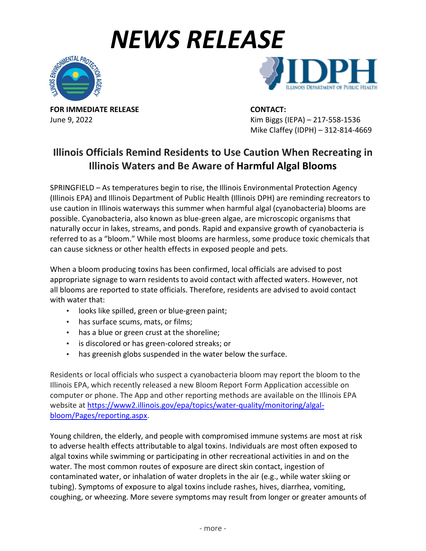## *NEWS RELEASE*





**FOR IMMEDIATE RELEASE CONTACT:**

June 9, 2022 Kim Biggs (IEPA) – 217-558-1536 Mike Claffey (IDPH) – 312-814-4669

## **Illinois Officials Remind Residents to Use Caution When Recreating in Illinois Waters and Be Aware of Harmful Algal Blooms**

SPRINGFIELD – As temperatures begin to rise, the Illinois Environmental Protection Agency (Illinois EPA) and Illinois Department of Public Health (Illinois DPH) are reminding recreators to use caution in Illinois waterways this summer when harmful algal (cyanobacteria) blooms are possible. Cyanobacteria, also known as blue-green algae, are microscopic organisms that naturally occur in lakes, streams, and ponds. Rapid and expansive growth of cyanobacteria is referred to as a "bloom." While most blooms are harmless, some produce toxic chemicals that can cause sickness or other health effects in exposed people and pets.

When a bloom producing toxins has been confirmed, local officials are advised to post appropriate signage to warn residents to avoid contact with affected waters. However, not all blooms are reported to state officials. Therefore, residents are advised to avoid contact with water that:

- looks like spilled, green or blue-green paint;
- has surface scums, mats, or films;
- has a blue or green crust at the shoreline;
- is discolored or has green-colored streaks; or
- has greenish globs suspended in the water below the surface.

Residents or local officials who suspect a cyanobacteria bloom may report the bloom to the Illinois EPA, which recently released a new Bloom Report Form Application accessible on computer or phone. The App and other reporting methods are available on the Illinois EPA website at [https://www2.illinois.gov/epa/topics/water-quality/monitoring/algal](https://www2.illinois.gov/epa/topics/water-quality/monitoring/algal-bloom/Pages/reporting.aspx)[bloom/Pages/reporting.aspx.](https://www2.illinois.gov/epa/topics/water-quality/monitoring/algal-bloom/Pages/reporting.aspx)

Young children, the elderly, and people with compromised immune systems are most at risk to adverse health effects attributable to algal toxins. Individuals are most often exposed to algal toxins while swimming or participating in other recreational activities in and on the water. The most common routes of exposure are direct skin contact, ingestion of contaminated water, or inhalation of water droplets in the air (e.g., while water skiing or tubing). Symptoms of exposure to algal toxins include rashes, hives, diarrhea, vomiting, coughing, or wheezing. More severe symptoms may result from longer or greater amounts of